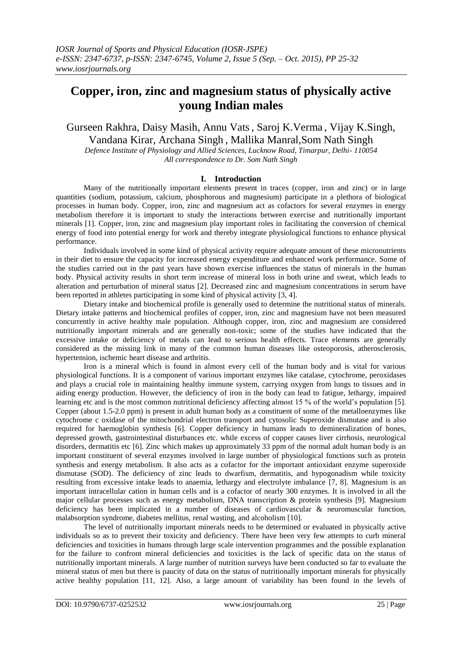# **Copper, iron, zinc and magnesium status of physically active young Indian males**

Gurseen Rakhra, Daisy Masih, Annu Vats, Saroj K.Verma , Vijay K.Singh, Vandana Kirar, Archana Singh , Mallika Manral,Som Nath Singh

*Defence Institute of Physiology and Allied Sciences, Lucknow Road, Timarpur, Delhi- 110054 All correspondence to Dr. Som Nath Singh*

## **I. Introduction**

Many of the nutritionally important elements present in traces (copper, iron and zinc) or in large quantities (sodium, potassium, calcium, phosphorous and magnesium) participate in a plethora of biological processes in human body. Copper, iron, zinc and magnesium act as cofactors for several enzymes in energy metabolism therefore it is important to study the interactions between exercise and nutritionally important minerals [1]. Copper, iron, zinc and magnesium play important roles in facilitating the conversion of chemical energy of food into potential energy for work and thereby integrate physiological functions to enhance physical performance.

Individuals involved in some kind of physical activity require adequate amount of these micronutrients in their diet to ensure the capacity for increased energy expenditure and enhanced work performance. Some of the studies carried out in the past years have shown exercise influences the status of minerals in the human body. Physical activity results in short term increase of mineral loss in both urine and sweat, which leads to alteration and perturbation of mineral status [2]. Decreased zinc and magnesium concentrations in serum have been reported in athletes participating in some kind of physical activity [3, 4].

Dietary intake and biochemical profile is generally used to determine the nutritional status of minerals. Dietary intake patterns and biochemical profiles of copper, iron, zinc and magnesium have not been measured concurrently in active healthy male population. Although copper, iron, zinc and magnesium are considered nutritionally important minerals and are generally non-toxic; some of the studies have indicated that the excessive intake or deficiency of metals can lead to serious health effects. Trace elements are generally considered as the missing link in many of the common human diseases like osteoporosis, atherosclerosis, hypertension, ischemic heart disease and arthritis.

Iron is a mineral which is found in almost every cell of the human body and is vital for various physiological functions. It is a component of various important enzymes like catalase, cytochrome, peroxidases and plays a crucial role in maintaining healthy immune system, carrying oxygen from lungs to tissues and in aiding energy production. However, the deficiency of iron in the body can lead to fatigue, lethargy, impaired learning etc and is the most common nutritional deficiency affecting almost 15 % of the world's population [5]. Copper (about 1.5-2.0 ppm) is present in adult human body as a constituent of some of the metalloenzymes like cytochrome c oxidase of the mitochondrial electron transport and cytosolic Superoxide dismutase and is also required for haemoglobin synthesis [6]. Copper deficiency in humans leads to demineralization of bones, depressed growth, gastrointestinal disturbances etc. while excess of copper causes liver cirrhosis, neurological disorders, dermatitis etc [6]. Zinc which makes up approximately 33 ppm of the normal adult human body is an important constituent of several enzymes involved in large number of physiological functions such as protein synthesis and energy metabolism. It also acts as a cofactor for the important antioxidant enzyme superoxide dismutase (SOD). The deficiency of zinc leads to dwarfism, dermatitis, and hypogonadism while toxicity resulting from excessive intake leads to anaemia, lethargy and electrolyte imbalance [7, 8]. Magnesium is an important intracellular cation in human cells and is a cofactor of nearly 300 enzymes. It is involved in all the major cellular processes such as energy metabolism, DNA transcription  $\&$  protein synthesis [9]. Magnesium deficiency has been implicated in a number of diseases of cardiovascular & neuromuscular function, malabsorption syndrome, diabetes mellitus, renal wasting, and alcoholism [10].

The level of nutritionally important minerals needs to be determined or evaluated in physically active individuals so as to prevent their toxicity and deficiency. There have been very few attempts to curb mineral deficiencies and toxicities in humans through large scale intervention programmes and the possible explanation for the failure to confront mineral deficiencies and toxicities is the lack of specific data on the status of nutritionally important minerals. A large number of nutrition surveys have been conducted so far to evaluate the mineral status of men but there is paucity of data on the status of nutritionally important minerals for physically active healthy population [11, 12]. Also, a large amount of variability has been found in the levels of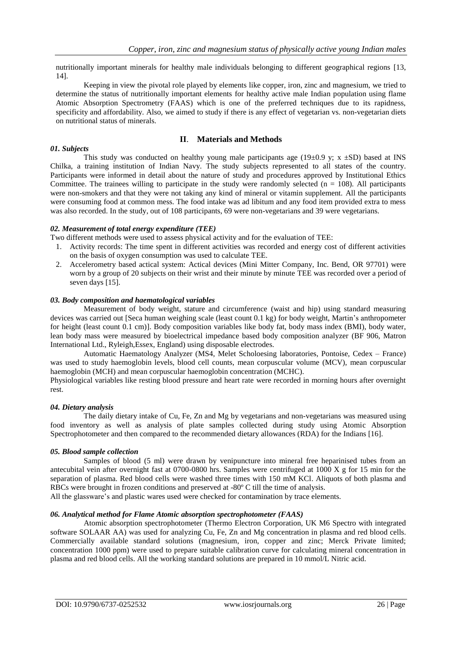nutritionally important minerals for healthy male individuals belonging to different geographical regions [13, 14].

Keeping in view the pivotal role played by elements like copper, iron, zinc and magnesium, we tried to determine the status of nutritionally important elements for healthy active male Indian population using flame Atomic Absorption Spectrometry (FAAS) which is one of the preferred techniques due to its rapidness, specificity and affordability. Also, we aimed to study if there is any effect of vegetarian vs. non-vegetarian diets on nutritional status of minerals.

# **II**. **Materials and Methods**

This study was conducted on healthy young male participants age (19 $\pm$ 0.9 y; x  $\pm$ SD) based at INS Chilka, a training institution of Indian Navy. The study subjects represented to all states of the country. Participants were informed in detail about the nature of study and procedures approved by Institutional Ethics Committee. The trainees willing to participate in the study were randomly selected  $(n = 108)$ . All participants were non-smokers and that they were not taking any kind of mineral or vitamin supplement. All the participants were consuming food at common mess. The food intake was ad libitum and any food item provided extra to mess was also recorded. In the study, out of 108 participants, 69 were non-vegetarians and 39 were vegetarians.

## *02. Measurement of total energy expenditure (TEE)*

Two different methods were used to assess physical activity and for the evaluation of TEE:

- 1. Activity records: The time spent in different activities was recorded and energy cost of different activities on the basis of oxygen consumption was used to calculate TEE.
- 2. Accelerometry based actical system: Actical devices (Mini Mitter Company, Inc. Bend, OR 97701) were worn by a group of 20 subjects on their wrist and their minute by minute TEE was recorded over a period of seven days [15].

## *03. Body composition and haematological variables*

Measurement of body weight, stature and circumference (waist and hip) using standard measuring devices was carried out [Seca human weighing scale (least count 0.1 kg) for body weight, Martin's anthropometer for height (least count 0.1 cm)]. Body composition variables like body fat, body mass index (BMI), body water, lean body mass were measured by bioelectrical impedance based body composition analyzer (BF 906, Matron International Ltd., Ryleigh,Essex, England) using disposable electrodes.

Automatic Haematology Analyzer (MS4, Melet Scholoesing laboratories, Pontoise, Cedex – France) was used to study haemoglobin levels, blood cell counts, mean corpuscular volume (MCV), mean corpuscular haemoglobin (MCH) and mean corpuscular haemoglobin concentration (MCHC).

Physiological variables like resting blood pressure and heart rate were recorded in morning hours after overnight rest.

#### *04. Dietary analysis*

*01. Subjects*

The daily dietary intake of Cu, Fe, Zn and Mg by vegetarians and non-vegetarians was measured using food inventory as well as analysis of plate samples collected during study using Atomic Absorption Spectrophotometer and then compared to the recommended dietary allowances (RDA) for the Indians [16].

#### *05. Blood sample collection*

Samples of blood (5 ml) were drawn by venipuncture into mineral free heparinised tubes from an antecubital vein after overnight fast at 0700-0800 hrs. Samples were centrifuged at 1000 X g for 15 min for the separation of plasma. Red blood cells were washed three times with 150 mM KCl. Aliquots of both plasma and RBCs were brought in frozen conditions and preserved at -80º C till the time of analysis.

All the glassware's and plastic wares used were checked for contamination by trace elements.

# *06. Analytical method for Flame Atomic absorption spectrophotometer (FAAS)*

Atomic absorption spectrophotometer (Thermo Electron Corporation, UK M6 Spectro with integrated software SOLAAR AA) was used for analyzing Cu, Fe, Zn and Mg concentration in plasma and red blood cells. Commercially available standard solutions (magnesium, iron, copper and zinc; Merck Private limited; concentration 1000 ppm) were used to prepare suitable calibration curve for calculating mineral concentration in plasma and red blood cells. All the working standard solutions are prepared in 10 mmol/L Nitric acid.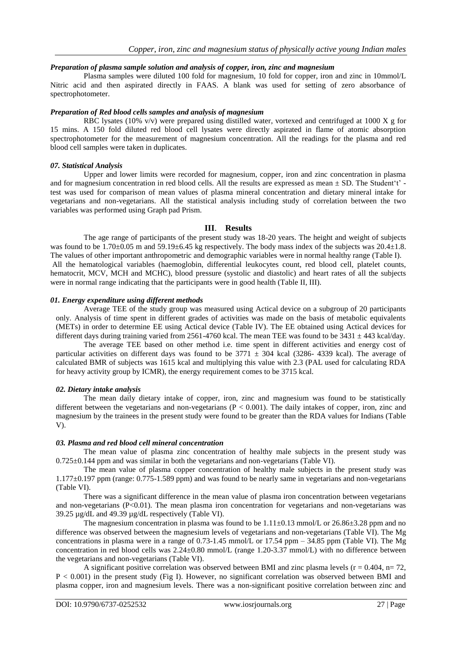#### *Preparation of plasma sample solution and analysis of copper, iron, zinc and magnesium*

Plasma samples were diluted 100 fold for magnesium, 10 fold for copper, iron and zinc in 10mmol/L Nitric acid and then aspirated directly in FAAS. A blank was used for setting of zero absorbance of spectrophotometer.

#### *Preparation of Red blood cells samples and analysis of magnesium*

RBC lysates (10% v/v) were prepared using distilled water, vortexed and centrifuged at 1000 X g for 15 mins. A 150 fold diluted red blood cell lysates were directly aspirated in flame of atomic absorption spectrophotometer for the measurement of magnesium concentration. All the readings for the plasma and red blood cell samples were taken in duplicates.

#### *07. Statistical Analysis*

Upper and lower limits were recorded for magnesium, copper, iron and zinc concentration in plasma and for magnesium concentration in red blood cells. All the results are expressed as mean  $\pm$  SD. The Student't' test was used for comparison of mean values of plasma mineral concentration and dietary mineral intake for vegetarians and non-vegetarians. All the statistical analysis including study of correlation between the two variables was performed using Graph pad Prism.

#### **III**. **Results**

The age range of participants of the present study was 18-20 years. The height and weight of subjects was found to be 1.70 $\pm$ 0.05 m and 59.19 $\pm$ 6.45 kg respectively. The body mass index of the subjects was 20.4 $\pm$ 1.8. The values of other important anthropometric and demographic variables were in normal healthy range (Table I). All the hematological variables (haemoglobin, differential leukocytes count, red blood cell, platelet counts, hematocrit, MCV, MCH and MCHC), blood pressure (systolic and diastolic) and heart rates of all the subjects were in normal range indicating that the participants were in good health (Table II, III).

#### *01. Energy expenditure using different methods*

Average TEE of the study group was measured using Actical device on a subgroup of 20 participants only. Analysis of time spent in different grades of activities was made on the basis of metabolic equivalents (METs) in order to determine EE using Actical device (Table IV). The EE obtained using Actical devices for different days during training varied from 2561-4760 kcal. The mean TEE was found to be  $3431 \pm 443$  kcal/day.

 The average TEE based on other method i.e. time spent in different activities and energy cost of particular activities on different days was found to be  $3771 \pm 304$  kcal (3286- 4339 kcal). The average of calculated BMR of subjects was 1615 kcal and multiplying this value with 2.3 (PAL used for calculating RDA for heavy activity group by ICMR), the energy requirement comes to be 3715 kcal.

#### *02. Dietary intake analysis*

The mean daily dietary intake of copper, iron, zinc and magnesium was found to be statistically different between the vegetarians and non-vegetarians (P < 0.001). The daily intakes of copper, iron, zinc and magnesium by the trainees in the present study were found to be greater than the RDA values for Indians (Table V).

#### *03. Plasma and red blood cell mineral concentration*

The mean value of plasma zinc concentration of healthy male subjects in the present study was 0.725±0.144 ppm and was similar in both the vegetarians and non-vegetarians (Table VI).

The mean value of plasma copper concentration of healthy male subjects in the present study was 1.177±0.197 ppm (range: 0.775-1.589 ppm) and was found to be nearly same in vegetarians and non-vegetarians (Table VI).

There was a significant difference in the mean value of plasma iron concentration between vegetarians and non-vegetarians (P<0.01). The mean plasma iron concentration for vegetarians and non-vegetarians was 39.25 µg/dL and 49.39 µg/dL respectively (Table VI).

The magnesium concentration in plasma was found to be  $1.11\pm0.13$  mmol/L or  $26.86\pm3.28$  ppm and no difference was observed between the magnesium levels of vegetarians and non-vegetarians (Table VI). The Mg concentrations in plasma were in a range of 0.73-1.45 mmol/L or 17.54 ppm – 34.85 ppm (Table VI). The Mg concentration in red blood cells was 2.24±0.80 mmol/L (range 1.20-3.37 mmol/L) with no difference between the vegetarians and non-vegetarians (Table VI).

A significant positive correlation was observed between BMI and zinc plasma levels ( $r = 0.404$ ,  $n = 72$ , P < 0.001) in the present study (Fig I). However, no significant correlation was observed between BMI and plasma copper, iron and magnesium levels. There was a non-significant positive correlation between zinc and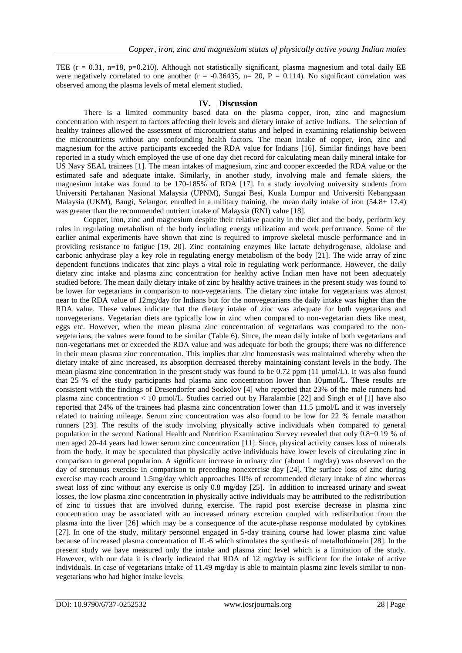TEE  $(r = 0.31, n=18, p=0.210)$ . Although not statistically significant, plasma magnesium and total daily EE were negatively correlated to one another ( $r = -0.36435$ ,  $n = 20$ ,  $P = 0.114$ ). No significant correlation was observed among the plasma levels of metal element studied.

## **IV. Discussion**

There is a limited community based data on the plasma copper, iron, zinc and magnesium concentration with respect to factors affecting their levels and dietary intake of active Indians. The selection of healthy trainees allowed the assessment of micronutrient status and helped in examining relationship between the micronutrients without any confounding health factors. The mean intake of copper, iron, zinc and magnesium for the active participants exceeded the RDA value for Indians [16]. Similar findings have been reported in a study which employed the use of one day diet record for calculating mean daily mineral intake for US Navy SEAL trainees [1]. The mean intakes of magnesium, zinc and copper exceeded the RDA value or the estimated safe and adequate intake. Similarly, in another study, involving male and female skiers, the magnesium intake was found to be 170-185% of RDA [17]. In a study involving university students from Universiti Pertahanan Nasional Malaysia (UPNM), Sungai Besi, Kuala Lumpur and Universiti Kebangsaan Malaysia (UKM), Bangi, Selangor, enrolled in a military training, the mean daily intake of iron (54.8± 17.4) was greater than the recommended nutrient intake of Malaysia (RNI) value [18].

 Copper, iron, zinc and magnesium despite their relative paucity in the diet and the body, perform key roles in regulating metabolism of the body including energy utilization and work performance. Some of the earlier animal experiments have shown that zinc is required to improve skeletal muscle performance and in providing resistance to fatigue [19, 20]. Zinc containing enzymes like lactate dehydrogenase, aldolase and carbonic anhydrase play a key role in regulating energy metabolism of the body [21]. The wide array of zinc dependent functions indicates that zinc plays a vital role in regulating work performance. However, the daily dietary zinc intake and plasma zinc concentration for healthy active Indian men have not been adequately studied before. The mean daily dietary intake of zinc by healthy active trainees in the present study was found to be lower for vegetarians in comparison to non-vegetarians. The dietary zinc intake for vegetarians was almost near to the RDA value of 12mg/day for Indians but for the nonvegetarians the daily intake was higher than the RDA value. These values indicate that the dietary intake of zinc was adequate for both vegetarians and nonvegeterians. Vegetarian diets are typically low in zinc when compared to non-vegetarian diets like meat, eggs etc. However, when the mean plasma zinc concentration of vegetarians was compared to the nonvegetarians, the values were found to be similar (Table 6). Since, the mean daily intake of both vegetarians and non-vegetarians met or exceeded the RDA value and was adequate for both the groups; there was no difference in their mean plasma zinc concentration. This implies that zinc homeostasis was maintained whereby when the dietary intake of zinc increased, its absorption decreased thereby maintaining constant levels in the body. The mean plasma zinc concentration in the present study was found to be 0.72 ppm (11 µmol/L). It was also found that 25 % of the study participants had plasma zinc concentration lower than 10µmol/L. These results are consistent with the findings of Dresendorfer and Sockolov [4] who reported that 23% of the male runners had plasma zinc concentration < 10 µmol/L. Studies carried out by Haralambie [22] and Singh *et al* [1] have also reported that 24% of the trainees had plasma zinc concentration lower than 11.5 µmol/L and it was inversely related to training mileage. Serum zinc concentration was also found to be low for 22 % female marathon runners [23]. The results of the study involving physically active individuals when compared to general population in the second National Health and Nutrition Examination Survey revealed that only 0.8±0.19 % of men aged 20-44 years had lower serum zinc concentration [11]. Since, physical activity causes loss of minerals from the body, it may be speculated that physically active individuals have lower levels of circulating zinc in comparison to general population. A significant increase in urinary zinc (about 1 mg/day) was observed on the day of strenuous exercise in comparison to preceding nonexercise day [24]. The surface loss of zinc during exercise may reach around 1.5mg/day which approaches 10% of recommended dietary intake of zinc whereas sweat loss of zinc without any exercise is only 0.8 mg/day [25]. In addition to increased urinary and sweat losses, the low plasma zinc concentration in physically active individuals may be attributed to the redistribution of zinc to tissues that are involved during exercise. The rapid post exercise decrease in plasma zinc concentration may be associated with an increased urinary excretion coupled with redistribution from the plasma into the liver [26] which may be a consequence of the acute-phase response modulated by cytokines [27]. In one of the study, military personnel engaged in 5-day training course had lower plasma zinc value because of increased plasma concentration of IL-6 which stimulates the synthesis of metallothionein [28]. In the present study we have measured only the intake and plasma zinc level which is a limitation of the study. However, with our data it is clearly indicated that RDA of 12 mg/day is sufficient for the intake of active individuals. In case of vegetarians intake of 11.49 mg/day is able to maintain plasma zinc levels similar to nonvegetarians who had higher intake levels.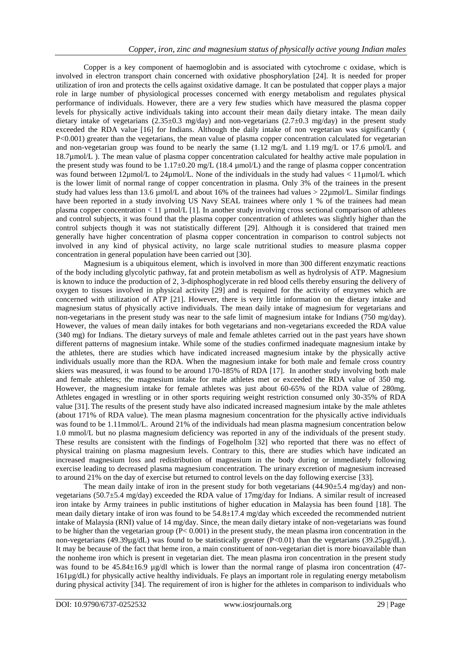Copper is a key component of haemoglobin and is associated with cytochrome c oxidase, which is involved in electron transport chain concerned with oxidative phosphorylation [24]. It is needed for proper utilization of iron and protects the cells against oxidative damage. It can be postulated that copper plays a major role in large number of physiological processes concerned with energy metabolism and regulates physical performance of individuals. However, there are a very few studies which have measured the plasma copper levels for physically active individuals taking into account their mean daily dietary intake. The mean daily dietary intake of vegetarians (2.35±0.3 mg/day) and non-vegetarians (2.7±0.3 mg/day) in the present study exceeded the RDA value [16] for Indians. Although the daily intake of non vegetarian was significantly ( P<0.001) greater than the vegetarians, the mean value of plasma copper concentration calculated for vegetarian and non-vegetarian group was found to be nearly the same (1.12 mg/L and 1.19 mg/L or 17.6 µmol/L and 18.7µmol/L ). The mean value of plasma copper concentration calculated for healthy active male population in the present study was found to be  $1.17\pm0.20$  mg/L (18.4 µmol/L) and the range of plasma copper concentration was found between  $12\mu$ mol/L to  $24\mu$ mol/L. None of the individuals in the study had values  $\lt 11\mu$ mol/L which is the lower limit of normal range of copper concentration in plasma. Only 3% of the trainees in the present study had values less than 13.6  $\mu$ mol/L and about 16% of the trainees had values > 22 $\mu$ mol/L. Similar findings have been reported in a study involving US Navy SEAL trainees where only 1 % of the trainees had mean plasma copper concentration < 11 µmol/L [1]. In another study involving cross sectional comparison of athletes and control subjects, it was found that the plasma copper concentration of athletes was slightly higher than the control subjects though it was not statistically different [29]. Although it is considered that trained men generally have higher concentration of plasma copper concentration in comparison to control subjects not involved in any kind of physical activity, no large scale nutritional studies to measure plasma copper concentration in general population have been carried out [30].

 Magnesium is a ubiquitous element, which is involved in more than 300 different enzymatic reactions of the body including glycolytic pathway, fat and protein metabolism as well as hydrolysis of ATP. Magnesium is known to induce the production of 2, 3-diphosphoglycerate in red blood cells thereby ensuring the delivery of oxygen to tissues involved in physical activity [29] and is required for the activity of enzymes which are concerned with utilization of ATP [21]. However, there is very little information on the dietary intake and magnesium status of physically active individuals. The mean daily intake of magnesium for vegetarians and non-vegetarians in the present study was near to the safe limit of magnesium intake for Indians (750 mg/day). However, the values of mean daily intakes for both vegetarians and non-vegetarians exceeded the RDA value (340 mg) for Indians. The dietary surveys of male and female athletes carried out in the past years have shown different patterns of magnesium intake. While some of the studies confirmed inadequate magnesium intake by the athletes, there are studies which have indicated increased magnesium intake by the physically active individuals usually more than the RDA. When the magnesium intake for both male and female cross country skiers was measured, it was found to be around 170-185% of RDA [17]. In another study involving both male and female athletes; the magnesium intake for male athletes met or exceeded the RDA value of 350 mg. However, the magnesium intake for female athletes was just about 60-65% of the RDA value of 280mg. Athletes engaged in wrestling or in other sports requiring weight restriction consumed only 30-35% of RDA value [31]. The results of the present study have also indicated increased magnesium intake by the male athletes (about 171% of RDA value). The mean plasma magnesium concentration for the physically active individuals was found to be 1.11mmol/L. Around 21% of the individuals had mean plasma magnesium concentration below 1.0 mmol/L but no plasma magnesium deficiency was reported in any of the individuals of the present study. These results are consistent with the findings of Fogelholm [32] who reported that there was no effect of physical training on plasma magnesium levels. Contrary to this, there are studies which have indicated an increased magnesium loss and redistribution of magnesium in the body during or immediately following exercise leading to decreased plasma magnesium concentration. The urinary excretion of magnesium increased to around 21% on the day of exercise but returned to control levels on the day following exercise [33].

The mean daily intake of iron in the present study for both vegetarians  $(44.90\pm5.4 \text{ mg/day})$  and nonvegetarians (50.7±5.4 mg/day) exceeded the RDA value of 17mg/day for Indians. A similar result of increased iron intake by Army trainees in public institutions of higher education in Malaysia has been found [18]. The mean daily dietary intake of iron was found to be 54.8±17.4 mg/day which exceeded the recommended nutrient intake of Malaysia (RNI) value of 14 mg/day. Since, the mean daily dietary intake of non-vegetarians was found to be higher than the vegetarian group  $(P< 0.001)$  in the present study, the mean plasma iron concentration in the non-vegetarians (49.39µg/dL) was found to be statistically greater (P<0.01) than the vegetarians (39.25µg/dL). It may be because of the fact that heme iron, a main constituent of non-vegetarian diet is more bioavailable than the nonheme iron which is present in vegetarian diet. The mean plasma iron concentration in the present study was found to be  $45.84\pm16.9$  µg/dl which is lower than the normal range of plasma iron concentration (47-161µg/dL) for physically active healthy individuals. Fe plays an important role in regulating energy metabolism during physical activity [34]. The requirement of iron is higher for the athletes in comparison to individuals who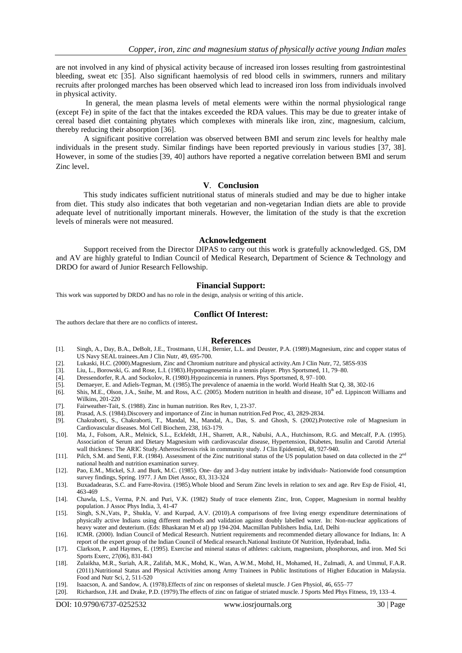are not involved in any kind of physical activity because of increased iron losses resulting from gastrointestinal bleeding, sweat etc [35]. Also significant haemolysis of red blood cells in swimmers, runners and military recruits after prolonged marches has been observed which lead to increased iron loss from individuals involved in physical activity.

 In general, the mean plasma levels of metal elements were within the normal physiological range (except Fe) in spite of the fact that the intakes exceeded the RDA values. This may be due to greater intake of cereal based diet containing phytates which complexes with minerals like iron, zinc, magnesium, calcium, thereby reducing their absorption [36].

 A significant positive correlation was observed between BMI and serum zinc levels for healthy male individuals in the present study. Similar findings have been reported previously in various studies [37, 38]. However, in some of the studies [39, 40] authors have reported a negative correlation between BMI and serum Zinc level.

# **V**. **Conclusion**

This study indicates sufficient nutritional status of minerals studied and may be due to higher intake from diet. This study also indicates that both vegetarian and non-vegetarian Indian diets are able to provide adequate level of nutritionally important minerals. However, the limitation of the study is that the excretion levels of minerals were not measured.

#### **Acknowledgement**

Support received from the Director DIPAS to carry out this work is gratefully acknowledged. GS, DM and AV are highly grateful to Indian Council of Medical Research, Department of Science & Technology and DRDO for award of Junior Research Fellowship.

#### **Financial Support:**

This work was supported by DRDO and has no role in the design, analysis or writing of this article.

#### **Conflict Of Interest:**

The authors declare that there are no conflicts of interest**.**

#### **References**

- [1]. Singh, A., Day, B.A., DeBolt, J.E., Trostmann, U.H., Bernier, L.L. and Deuster, P.A. (1989).Magnesium, zinc and copper status of US Navy SEAL trainees.Am J Clin Nutr, 49, 695-700.
- [2]. Lukaski, H.C. (2000).Magnesium, Zinc and Chromium nutriture and physical activity.Am J Clin Nutr, 72, 585S-93S
- [3]. Liu, L., Borowski, G. and Rose, L.I. (1983).Hypomagnesemia in a tennis player. Phys Sportsmed, 11, 79–80.
- 
- [4]. Dressendorfer, R.A. and Sockolov, R. (1980).Hypozincemia in runners. Phys Sportsmed, 8, 97–100. [5]. Demaeyer, E. and Adiels-Tegman, M. (1985).The prevalence of anaemia in the world. World Health Stat Q, 38, 302-16
- [6]. Shis, M.E., Olson, J.A., Snihe, M. and Ross, A.C. (2005). Modern nutrition in health and disease, 10<sup>th</sup> ed. Lippincott Williams and Wilkins, 201-220
- [7]. Fairweather-Tait, S. (1988). Zinc in human nutrition. Res Rev, 1, 23-37.
- Prasad, A.S. (1984).Discovery and importance of Zinc in human nutrition.Fed Proc, 43, 2829-2834.
- [9]. Chakraborti, S., Chakraborti, T., Mandal, M., Mandal, A., Das, S. and Ghosh, S. (2002).Protective role of Magnesium in Cardiovascular diseases. Mol Cell Biochem, 238, 163-179.
- [10]. Ma, J., Folsom, A.R., Melnick, S.L., Eckfeldt, J.H., Sharrett, A.R., Nabulsi, A.A., Hutchinsom, R.G. and Metcalf, P.A. (1995). Association of Serum and Dietary Magnesium with cardiovascular disease, Hypertension, Diabetes, Insulin and Carotid Arterial wall thickness: The ARIC Study.Atherosclerosis risk in community study. J Clin Epidemiol, 48, 927-940.
- [11]. Pilch, S.M. and Senti, F.R. (1984). Assessment of the Zinc nutritional status of the US population based on data collected in the  $2^{nc}$ national health and nutrition examination survey.
- [12]. Pao, E.M., Mickel, S.J. and Burk, M.C. (1985). One- day and 3-day nutrient intake by individuals- Nationwide food consumption survey findings, Spring. 1977. J Am Diet Assoc, 83, 313-324
- [13]. Buxadadearas, S.C. and Farre-Rovira. (1985).Whole blood and Serum Zinc levels in relation to sex and age. Rev Esp de Fisiol, 41, 463-469
- [14]. Chawla, L.S., Verma, P.N. and Puri, V.K. (1982) Study of trace elements Zinc, Iron, Copper, Magnesium in normal healthy population. J Assoc Phys India, 3, 41-47
- [15]. Singh, S.N.,Vats, P., Shukla, V. and Kurpad, A.V. (2010).A comparisons of free living energy expenditure determinations of physically active Indians using different methods and validation against doubly labelled water. In: Non-nuclear applications of heavy water and deuterium. (Eds: Bhaskaran M et al) pp 194-204. Macmillan Publishers India, Ltd, Delhi
- [16]. ICMR. (2000). Indian Council of Medical Research. Nutrient requirements and recommended dietary allowance for Indians, In: A report of the expert group of the Indian Council of Medical research.National Institute Of Nutrition, Hyderabad, India.
- [17]. Clarkson, P. and Haymes, E. (1995). Exercise and mineral status of athletes: calcium, magnesium, phosphorous, and iron. Med Sci Sports Exerc, 27(06), 831-843
- [18]. Zulaikha, M.R., Suriah, A.R., Zalifah, M.K., Mohd, K., Wan, A.W.M., Mohd, H., Mohamed, H., Zulmadi, A. and Ummul, F.A.R. (2011).Nutritional Status and Physical Activities among Army Trainees in Public Institutions of Higher Education in Malaysia. Food and Nutr Sci, 2, 511-520
- [19]. Isaacson, A. and Sandow, A. (1978).Effects of zinc on responses of skeletal muscle. J Gen Physiol, 46, 655–77
- [20]. Richardson, J.H. and Drake, P.D. (1979).The effects of zinc on fatigue of striated muscle. J Sports Med Phys Fitness, 19, 133–4.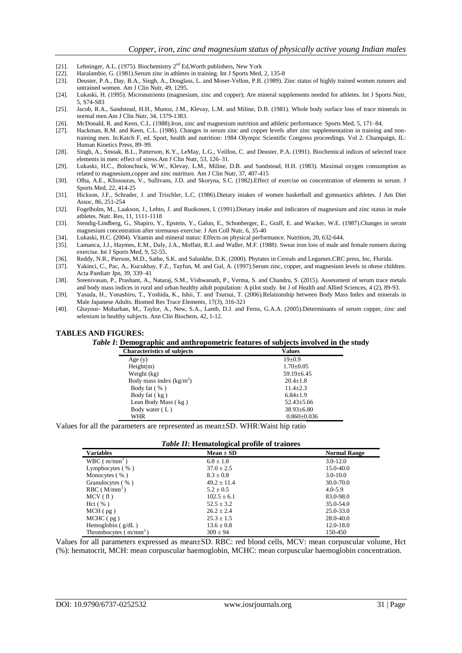- [21]. Lehninger, A.L. (1975). Biochemistry 2nd Ed,Worth publishers, New York
- [22]. Haralambie, G. (1981).Serum zinc in athletes in training. Int J Sports Med, 2, 135-8 [23]. Deuster, P.A., Day, B.A., Singh, A., Douglass, L. and Moser-Vellon, P.B. (1989). 2
- [23]. Deuster, P.A., Day, B.A., Singh, A., Douglass, L. and Moser-Vellon, P.B. (1989). Zinc status of highly trained women runners and untrained women. Am J Clin Nutr, 49, 1295.
- [24]. Lukaski, H. (1995). Micronutrients (magnesium, zinc and copper); Are mineral supplements needed for athletes. Int J Sports Nutr, 5, S74-S83
- [25]. Jacob, R.A., Sandstead, H.H., Munoz, J.M., Klevay, L.M. and Miline, D.B. (1981). Whole body surface loss of trace minerals in normal men.Am J Clin Nutr, 34, 1379-1383.
- [26]. McDonald, R. and Keen, C.L. (1988).Iron, zinc and magnesium nutrition and athletic performance. Sports Med, 5, 171–84.<br>[27]. Hackman, R.M. and Keen, C.L. (1986). Changes in serum zinc and copper levels after zinc sup
- Hackman, R.M. and Keen, C.L. (1986). Changes in serum zinc and copper levels after zinc supplementation in training and nontraining men. In:Katch F, ed. Sport, health and nutrition: 1984 Olympic Scientific Congress proceedings. Vol 2. Champaign, IL: Human Kinetics Press, 89–99.
- [28]. Singh, A., Smoak, B.L., Patterson, K.Y., LeMay, L.G., Veillon, C. and Deuster, P.A. (1991). Biochemical indices of selected trace elements in men: effect of stress.Am J Clin Nutr, 53, 126–31.
- [29]. Lukaski, H.C., Bolonchuck, W.W., Klevay, L.M., Miline, D.B. and Sandstead, H.H. (1983). Maximal oxygen consumption as related to magnesium,copper and zinc nutriture. Am J Clin Nutr, 37, 407-415
- [30]. Olha, A.E., Klissouras, V., Sullivans, J.D. and Skoryna, S.C. (1982).Effect of exercise on concentration of elements in serum. J Sports Med, 22, 414-25
- [31]. Hickson, J.F., Schrader, J. and Trischler, L.C. (1986).Dietary intakes of women basketball and gymnastics athletes. J Am Diet Assoc, 86, 251-254
- [32]. Fogelholm, M., Laakson, J., Lehto, J. and Ruokonen, I. (1991).Dietary intake and indicators of magnesium and zinc status in male athletes. Nutr. Res, 11, 1111-1118
- [33]. Stendig-Lindberg, G., Shapiro, Y., Epstein, Y., Galun, E., Schonberger, E., Graff, E. and Wacker, W.E. (1987).Changes in serum magnesium concentration after strenuous exercise. J Am Coll Nutr, 6, 35-40
- [34]. Lukaski, H.C. (2004). Vitamin and mineral status: Effects on physical performance. Nutrition, 20, 632-644.
- [35]. Lamanca, J.J., Haymes, E.M., Daly, J.A., Moffatt, R.J. and Waller, M.F. (1988). Sweat iron loss of male and female runners during exercise. Int J Sports Med, 9, 52-55.
- [36]. Reddy, N.R., Pierson, M.D., Sathe, S.K. and Salunkhe, D.K. (2000). Phytates in Cereals and Legumes.CRC press, Inc, Florida.
- [37]. Yakinci, C., Pac, A., Kucukbay, F.Z., Tayfun, M. and Gul, A. (1997).Serum zinc, copper, and magnesium levels in obese children. Acta Paediatr Jpn, 39, 339–41
- [38]. Sreenivasan, P., Prashant, A., Nataraj, S.M., Vishwanath, P., Verma, S. and Chandru, S. (2015). Assessment of serum trace metals and body mass indices in rural and urban healthy adult population: A pilot study. Int J of Health and Allied Sciences, 4 (2), 89-93.
- [39]. Yasuda, H., Yonashiro, T., Yoshida, K., Ishii, T. and Tsutsui, T. (2006).Relationship between Body Mass Index and minerals in Male Japanese Adults. Biomed Res Trace Elements, 17(3), 316-321
- [40]. Ghayour- Mobarhan, M., Taylor, A., New, S.A., Lamb, D.J. and Ferns, G.A.A. (2005).Determinants of serum copper, zinc and selenium in healthy subjects. Ann Clin Biochem, 42, 1-12.

#### **TABLES AND FIGURES:**

*Table I***: Demographic and anthropometric features of subjects involved in the study**

| <b>Characteristics of subjects</b> | Values            |
|------------------------------------|-------------------|
| Age $(y)$                          | $19+0.9$          |
| Height(m)                          | $1.70 \pm 0.05$   |
| Weight (kg)                        | $59.19 \pm 6.45$  |
| Body mass index $(kg/m2)$          | $20.4 + 1.8$      |
| Body fat $( %)$                    | $11.4 + 2.3$      |
| Body fat (kg)                      | $6.84 + 1.9$      |
| Lean Body Mass (kg)                | $52.43 \pm 5.66$  |
| Body water (L)                     | $38.93 \pm 6.80$  |
| WHR                                | $0.860 \pm 0.036$ |

Values for all the parameters are represented as mean±SD. WHR:Waist hip ratio

| Table II: Hematological profile of trainees |  |
|---------------------------------------------|--|
|---------------------------------------------|--|

| <b>Variables</b>        | $Mean \pm SD$   | <b>Normal Range</b> |
|-------------------------|-----------------|---------------------|
| $WBC$ ( $m/mm^3$ )      | $6.8 \pm 1.8$   | $3.0 - 12.0$        |
| Lymphocytes $( %)$      | $37.0 \pm 2.5$  | 15.0-40.0           |
| Monocytes $(\% )$       | $8.3 \pm 0.8$   | $3.0 - 10.0$        |
| Granulocytes (%)        | $49.2 \pm 11.4$ | 30.0-70.0           |
| $RBC(M/mm^3)$           | $5.2 \pm 0.5$   | $4.0 - 5.9$         |
| MCV(f1)                 | $102.5 \pm 6.1$ | 83.0-98.0           |
| Hct( %)                 | $52.5 \pm 3.2$  | 35.0-54.0           |
| MCH(pg)                 | $26.2 \pm 2.4$  | 25.0-33.0           |
| $MCHC$ ( $pg$ )         | $25.3 \pm 1.5$  | 28.0-40.0           |
| Hemoglobin $(g/dL)$     | $13.6 \pm 0.8$  | $12.0 - 18.0$       |
| Thrombocytes $(m/mm^3)$ | $309 \pm 94$    | 150-450             |

Values for all parameters expressed as mean±SD. RBC: red blood cells, MCV: mean corpuscular volume, Hct (%): hematocrit, MCH: mean corpuscular haemoglobin, MCHC: mean corpuscular haemoglobin concentration.